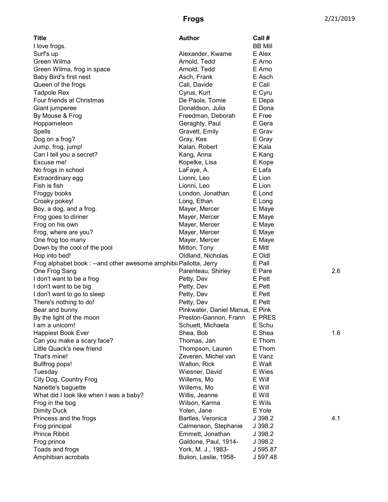| <b>Title</b>                                                       | <b>Author</b>                   | Call #         |     |
|--------------------------------------------------------------------|---------------------------------|----------------|-----|
| I love frogs.                                                      |                                 | <b>BB Mill</b> |     |
| Surf's up                                                          | Alexander, Kwame                | E Alex         |     |
| Green Wilma                                                        | Arnold, Tedd                    | E Arno         |     |
| Green Wilma, frog in space                                         | Arnold, Tedd                    | E Arno         |     |
| Baby Bird's first nest                                             | Asch, Frank                     | E Asch         |     |
| Queen of the frogs                                                 | Cali, Davide                    | E Cali         |     |
| <b>Tadpole Rex</b>                                                 | Cyrus, Kurt                     | E Cyru         |     |
| Four friends at Christmas                                          | De Paola, Tomie                 | E Depa         |     |
| Giant jumperee                                                     | Donaldson, Julia                | E Dona         |     |
| By Mouse & Frog                                                    | Freedman, Deborah               | E Free         |     |
| Hoppameleon                                                        | Geraghty, Paul                  | E Gera         |     |
| Spells                                                             | Gravett, Emily                  | E Grav         |     |
| Dog on a frog?                                                     | Gray, Kes                       | E Gray         |     |
| Jump, frog, jump!                                                  | Kalan, Robert                   | E Kala         |     |
| Can I tell you a secret?                                           | Kang, Anna                      | E Kang         |     |
| Excuse me!                                                         | Kopelke, Lisa                   | E Kope         |     |
| No frogs in school                                                 | LaFaye, A.                      | E Lafa         |     |
| Extraordinary egg                                                  | Lionni, Leo                     | E Lion         |     |
| Fish is fish                                                       | Lionni, Leo                     | E Lion         |     |
| Froggy books                                                       | London, Jonathan                | E Lond         |     |
| Croaky pokey!                                                      | Long, Ethan                     | E Long         |     |
| Boy, a dog, and a frog.                                            | Mayer, Mercer                   | E Maye         |     |
| Frog goes to dinner                                                | Mayer, Mercer                   | E Maye         |     |
| Frog on his own                                                    | Mayer, Mercer                   | E Maye         |     |
| Frog, where are you?                                               | Mayer, Mercer                   | E Maye         |     |
| One frog too many                                                  | Mayer, Mercer                   | E Maye         |     |
| Down by the cool of the pool                                       | Mitton, Tony                    | E Mitt         |     |
| Hop into bed!                                                      | Oldland, Nicholas               | E Oldl         |     |
| Frog alphabet book : -- and other awesome amphibi: Pallotta, Jerry |                                 | E Pall         |     |
| One Frog Sang                                                      | Parenteau, Shirley              | E Pare         | 2.6 |
| I don't want to be a frog                                          | Petty, Dev                      | E Pett         |     |
| I don't want to be big                                             | Petty, Dev                      | E Pett         |     |
| I don't want to go to sleep                                        | Petty, Dev                      | E Pett         |     |
| There's nothing to do!                                             | Petty, Dev                      | E Pett         |     |
| Bear and bunny                                                     | Pinkwater, Daniel Manus, E Pink |                |     |
| By the light of the moon                                           | Preston-Gannon, Frann           | <b>E PRES</b>  |     |
| I am a unicorn!                                                    | Schuett, Michaela               | E Schu         |     |
| <b>Happiest Book Ever</b>                                          | Shea, Bob                       | E Shea         | 1.6 |
| Can you make a scary face?                                         | Thomas, Jan                     | E Thom         |     |
| Little Quack's new friend                                          | Thompson, Lauren                | E Thom         |     |
| That's mine!                                                       | Zeveren, Michel van             | E Vanz         |     |
| <b>Bullfrog pops!</b>                                              | Walton, Rick                    | E Walt         |     |
| Tuesday                                                            | Wiesner, David                  | E Wies         |     |
| City Dog, Country Frog                                             | Willems, Mo                     | E Will         |     |
| Nanette's baguette                                                 | Willems, Mo                     | E Will         |     |
| What did I look like when I was a baby?                            | Willis, Jeanne                  | E Will         |     |
| Frog in the bog                                                    | Wilson, Karma                   | E Wils         |     |
| <b>Dimity Duck</b>                                                 | Yolen, Jane                     | E Yole         |     |
| Princess and the frogs                                             | Bartles, Veronica               | J 398.2        | 4.1 |
| Frog principal                                                     | Calmenson, Stephanie            | J 398.2        |     |
| <b>Prince Ribbit</b>                                               | Emmett, Jonathan                | J 398.2        |     |
| Frog prince                                                        | Galdone, Paul, 1914-            | J 398.2        |     |
| Toads and frogs                                                    | York, M. J., 1983-              | J 595.87       |     |
| Amphibian acrobats                                                 | Bulion, Leslie, 1958-           | J 597.48       |     |